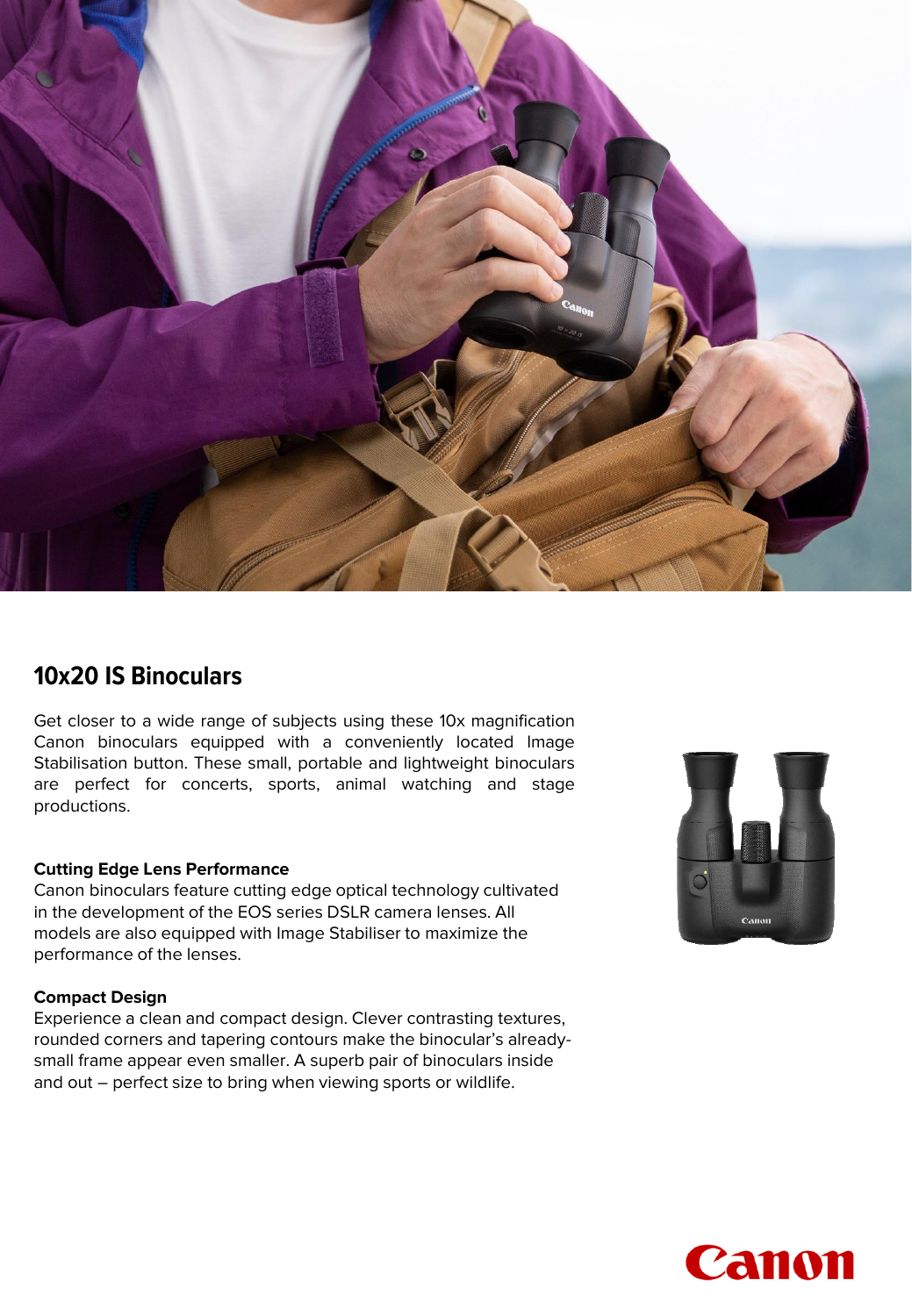

## **10x20 IS Binoculars**

Get closer to a wide range of subjects using these 10x magnification Canon binoculars equipped with a conveniently located Image Stabilisation button. These small, portable and lightweight binoculars are perfect for concerts, sports, animal watching and stage productions.

### **Cutting Edge Lens Performance**

Canon binoculars feature cutting edge optical technology cultivated in the development of the EOS series DSLR camera lenses. All models are also equipped with Image Stabiliser to maximize the performance of the lenses.

### **Compact Design**

Experience a clean and compact design. Clever contrasting textures, rounded corners and tapering contours make the binocular's alreadysmall frame appear even smaller. A superb pair of binoculars inside and out – perfect size to bring when viewing sports or wildlife.